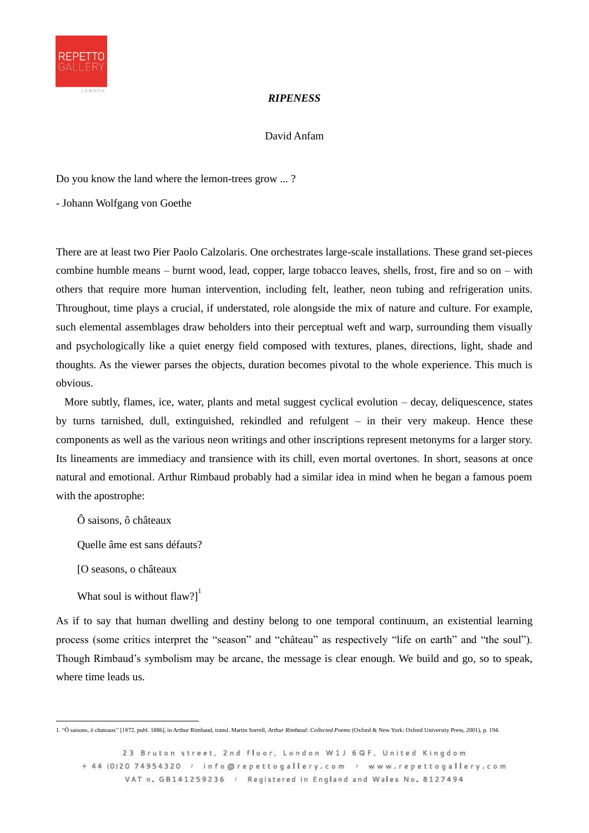

## *RIPENESS*

David Anfam

Do you know the land where the lemon-trees grow ... ?

- Johann Wolfgang von Goethe

There are at least two Pier Paolo Calzolaris. One orchestrates large-scale installations. These grand set-pieces combine humble means – burnt wood, lead, copper, large tobacco leaves, shells, frost, fire and so on – with others that require more human intervention, including felt, leather, neon tubing and refrigeration units. Throughout, time plays a crucial, if understated, role alongside the mix of nature and culture. For example, such elemental assemblages draw beholders into their perceptual weft and warp, surrounding them visually and psychologically like a quiet energy field composed with textures, planes, directions, light, shade and thoughts. As the viewer parses the objects, duration becomes pivotal to the whole experience. This much is obvious.

More subtly, flames, ice, water, plants and metal suggest cyclical evolution – decay, deliquescence, states by turns tarnished, dull, extinguished, rekindled and refulgent – in their very makeup. Hence these components as well as the various neon writings and other inscriptions represent metonyms for a larger story. Its lineaments are immediacy and transience with its chill, even mortal overtones. In short, seasons at once natural and emotional. Arthur Rimbaud probably had a similar idea in mind when he began a famous poem with the apostrophe:

Ô saisons, ô châteaux

Quelle âme est sans défauts?

[O seasons, o châteaux

What soul is without flaw? $]$ <sup>1</sup>

As if to say that human dwelling and destiny belong to one temporal continuum, an existential learning process (some critics interpret the "season" and "château" as respectively "life on earth" and "the soul"). Though Rimbaud's symbolism may be arcane, the message is clear enough. We build and go, so to speak, where time leads us.

<sup>1. &</sup>quot;Ô saisons, ô chateaux" [1872, publ. 1886], in Arthur Rimbaud, transl. Martin Sorrell, *Arthur Rimbaud: Collected Poems* (Oxford & New York: Oxford University Press, 2001), p. 194.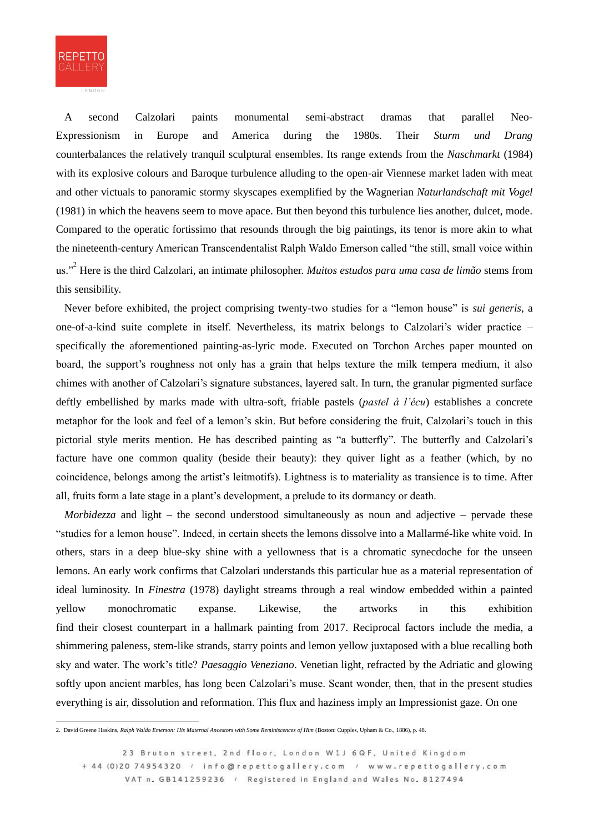

A second Calzolari paints monumental semi-abstract dramas that parallel Neo-Expressionism in Europe and America during the 1980s. Their *Sturm und Drang* counterbalances the relatively tranquil sculptural ensembles. Its range extends from the *Naschmarkt* (1984) with its explosive colours and Baroque turbulence alluding to the open-air Viennese market laden with meat and other victuals to panoramic stormy skyscapes exemplified by the Wagnerian *Naturlandschaft mit Vogel*  (1981) in which the heavens seem to move apace. But then beyond this turbulence lies another, dulcet, mode. Compared to the operatic fortissimo that resounds through the big paintings, its tenor is more akin to what the nineteenth-century American Transcendentalist Ralph Waldo Emerson called "the still, small voice within us."<sup>2</sup> Here is the third Calzolari, an intimate philosopher. *Muitos estudos para uma casa de limão* stems from this sensibility.

Never before exhibited, the project comprising twenty-two studies for a "lemon house" is *sui generis*, a one-of-a-kind suite complete in itself. Nevertheless, its matrix belongs to Calzolari's wider practice – specifically the aforementioned painting-as-lyric mode. Executed on Torchon Arches paper mounted on board, the support's roughness not only has a grain that helps texture the milk tempera medium, it also chimes with another of Calzolari's signature substances, layered salt. In turn, the granular pigmented surface deftly embellished by marks made with ultra-soft, friable pastels (*pastel à l'écu*) establishes a concrete metaphor for the look and feel of a lemon's skin. But before considering the fruit, Calzolari's touch in this pictorial style merits mention. He has described painting as "a butterfly". The butterfly and Calzolari's facture have one common quality (beside their beauty): they quiver light as a feather (which, by no coincidence, belongs among the artist's leitmotifs). Lightness is to materiality as transience is to time. After all, fruits form a late stage in a plant's development, a prelude to its dormancy or death.

*Morbidezza* and light – the second understood simultaneously as noun and adjective – pervade these "studies for a lemon house". Indeed, in certain sheets the lemons dissolve into a Mallarmé-like white void. In others, stars in a deep blue-sky shine with a yellowness that is a chromatic synecdoche for the unseen lemons. An early work confirms that Calzolari understands this particular hue as a material representation of ideal luminosity. In *Finestra* (1978) daylight streams through a real window embedded within a painted yellow monochromatic expanse. Likewise, the artworks in this exhibition find their closest counterpart in a hallmark painting from 2017. Reciprocal factors include the media, a shimmering paleness, stem-like strands, starry points and lemon yellow juxtaposed with a blue recalling both sky and water. The work's title? *Paesaggio Veneziano*. Venetian light, refracted by the Adriatic and glowing softly upon ancient marbles, has long been Calzolari's muse. Scant wonder, then, that in the present studies everything is air, dissolution and reformation. This flux and haziness imply an Impressionist gaze. On one

<sup>2.</sup> David Greene Haskins, *Ralph Waldo Emerson: His Maternal Ancestors with Some Reminiscences of Him* (Boston: Cupples, Upham & Co., 1886), p. 48.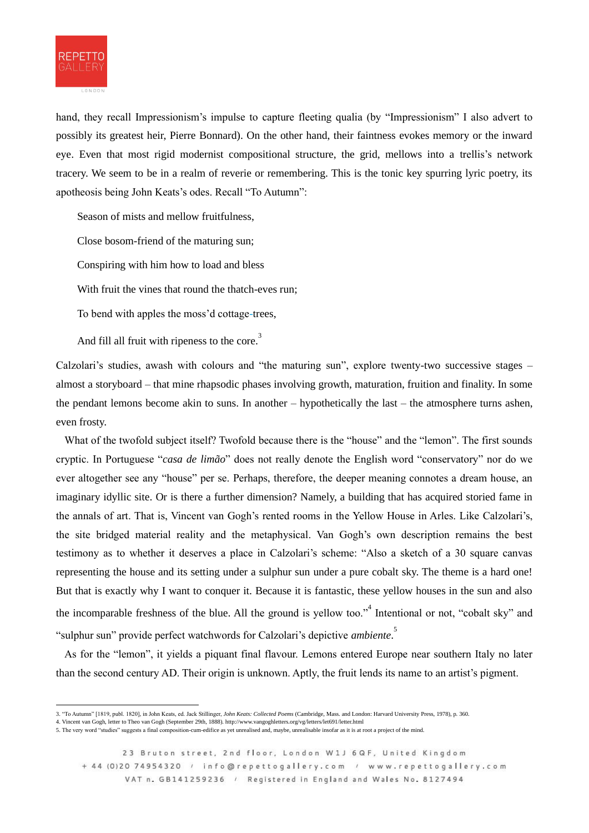

hand, they recall Impressionism's impulse to capture fleeting qualia (by "Impressionism" I also advert to possibly its greatest heir, Pierre Bonnard). On the other hand, their faintness evokes memory or the inward eye. Even that most rigid modernist compositional structure, the grid, mellows into a trellis's network tracery. We seem to be in a realm of reverie or remembering. This is the tonic key spurring lyric poetry, its apotheosis being John Keats's odes. Recall "To Autumn":

Season of mists and mellow fruitfulness,

Close bosom-friend of the maturing sun;

Conspiring with him how to load and bless

With fruit the vines that round the thatch-eves run;

To bend with apples the moss'd cottage-trees,

And fill all fruit with ripeness to the core.<sup>3</sup>

Calzolari's studies, awash with colours and "the maturing sun", explore twenty-two successive stages – almost a storyboard – that mine rhapsodic phases involving growth, maturation, fruition and finality. In some the pendant lemons become akin to suns. In another – hypothetically the last – the atmosphere turns ashen, even frosty.

What of the twofold subject itself? Twofold because there is the "house" and the "lemon". The first sounds cryptic. In Portuguese "*casa de limão*" does not really denote the English word "conservatory" nor do we ever altogether see any "house" per se. Perhaps, therefore, the deeper meaning connotes a dream house, an imaginary idyllic site. Or is there a further dimension? Namely, a building that has acquired storied fame in the annals of art. That is, Vincent van Gogh's rented rooms in the Yellow House in Arles. Like Calzolari's, the site bridged material reality and the metaphysical. Van Gogh's own description remains the best testimony as to whether it deserves a place in Calzolari's scheme: "Also a sketch of a 30 square canvas representing the house and its setting under a sulphur sun under a pure cobalt sky. The theme is a hard one! But that is exactly why I want to conquer it. Because it is fantastic, these yellow houses in the sun and also the incomparable freshness of the blue. All the ground is yellow too."<sup>4</sup> Intentional or not, "cobalt sky" and "sulphur sun" provide perfect watchwords for Calzolari's depictive *ambiente*. 5

As for the "lemon", it yields a piquant final flavour. Lemons entered Europe near southern Italy no later than the second century AD. Their origin is unknown. Aptly, the fruit lends its name to an artist's pigment.

<sup>3.</sup> "To Autumn" [1819, publ. 1820], in John Keats, ed. Jack Stillinger, *John Keats: Collected Poems* (Cambridge, Mass. and London: Harvard University Press, 1978), p. 360.

<sup>4.</sup> Vincent van Gogh, letter to Theo van Gogh (September 29th, 1888). http://www.vangoghletters.org/vg/letters/let691/letter.html

<sup>5.</sup> The very word "studies" suggests a final composition-cum-edifice as yet unrealised and, maybe, unrealisable insofar as it is at root a project of the mind.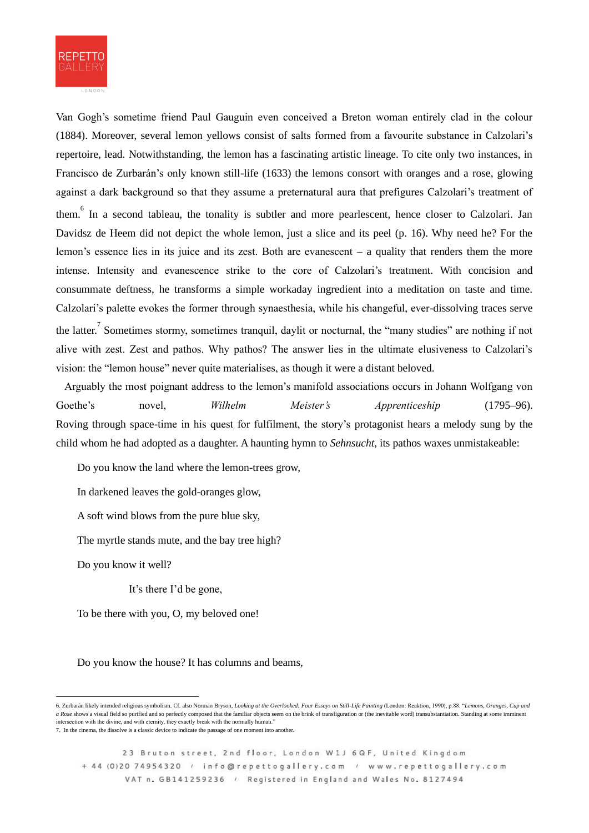

Van Gogh's sometime friend Paul Gauguin even conceived a Breton woman entirely clad in the colour (1884). Moreover, several lemon yellows consist of salts formed from a favourite substance in Calzolari's repertoire, lead. Notwithstanding, the lemon has a fascinating artistic lineage. To cite only two instances, in Francisco de Zurbarán's only known still-life (1633) the lemons consort with oranges and a rose, glowing against a dark background so that they assume a preternatural aura that prefigures Calzolari's treatment of them.<sup>6</sup> In a second tableau, the tonality is subtler and more pearlescent, hence closer to Calzolari. Jan Davidsz de Heem did not depict the whole lemon, just a slice and its peel (p. 16). Why need he? For the lemon's essence lies in its juice and its zest. Both are evanescent – a quality that renders them the more intense. Intensity and evanescence strike to the core of Calzolari's treatment. With concision and consummate deftness, he transforms a simple workaday ingredient into a meditation on taste and time. Calzolari's palette evokes the former through synaesthesia, while his changeful, ever-dissolving traces serve the latter.<sup>7</sup> Sometimes stormy, sometimes tranquil, daylit or nocturnal, the "many studies" are nothing if not alive with zest. Zest and pathos. Why pathos? The answer lies in the ultimate elusiveness to Calzolari's vision: the "lemon house" never quite materialises, as though it were a distant beloved.

Arguably the most poignant address to the lemon's manifold associations occurs in Johann Wolfgang von Goethe's novel, *Wilhelm Meister's Apprenticeship* (1795–96). Roving through space-time in his quest for fulfilment, the story's protagonist hears a melody sung by the child whom he had adopted as a daughter. A haunting hymn to *Sehnsucht*, its pathos waxes unmistakeable:

Do you know the land where the lemon-trees grow,

In darkened leaves the gold-oranges glow,

A soft wind blows from the pure blue sky,

The myrtle stands mute, and the bay tree high?

Do you know it well?

It's there I'd be gone,

To be there with you, O, my beloved one!

Do you know the house? It has columns and beams,

<sup>6.</sup> Zurbarán likely intended religious symbolism. Cf. also Norman Bryson, *Looking at the Overlooked: Four Essays on Still-Life Painting* (London: Reaktion, 1990), p.88. "*Lemons, Oranges, Cup and*  a Rose shows a visual field so purified and so perfectly composed that the familiar objects seem on the brink of transfiguration or (the inevitable word) transubstantiation. Standing at some imminent intersection with the divine, and with eternity, they exactly break with the normally human." 7. In the cinema, the dissolve is a classic device to indicate the passage of one moment into another.